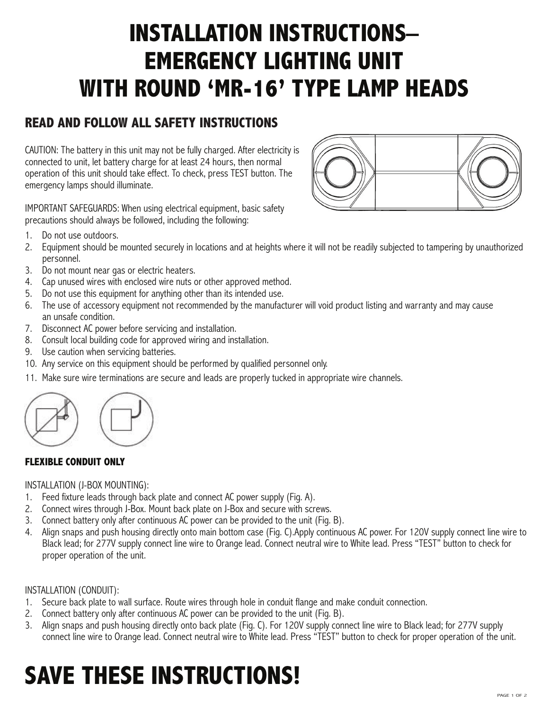# **INSTALLATION INSTRUCTIONS– EMERGENCY LIGHTING UNIT WITH ROUND 'MR-16' TYPE LAMP HEADS**

## **READ AND FOLLOW ALL SAFETY INSTRUCTIONS**

CAUTION: The battery in this unit may not be fully charged. After electricity is connected to unit, let battery charge for at least 24 hours, then normal operation of this unit should take effect. To check, press TEST button. The emergency lamps should illuminate.





1. Do not use outdoors.

- 2. Equipment should be mounted securely in locations and at heights where it will not be readily subjected to tampering by unauthorized personnel.
- 3. Do not mount near gas or electric heaters.
- 4. Cap unused wires with enclosed wire nuts or other approved method.
- 5. Do not use this equipment for anything other than its intended use.
- 6. The use of accessory equipment not recommended by the manufacturer will void product listing and warranty and may cause an unsafe condition.
- 7. Disconnect AC power before servicing and installation.
- 8. Consult local building code for approved wiring and installation.
- 9. Use caution when servicing batteries.
- 10. Any service on this equipment should be performed by qualified personnel only.
- 11. Make sure wire terminations are secure and leads are properly tucked in appropriate wire channels.



#### **FLEXIBLE CONDUIT ONLY**

#### INSTALLATION (J-BOX MOUNTING):

- 1. Feed fixture leads through back plate and connect AC power supply (Fig. A).
- 2. Connect wires through J-Box. Mount back plate on J-Box and secure with screws.
- 3. Connect battery only after continuous AC power can be provided to the unit (Fig. B).
- 4. Align snaps and push housing directly onto main bottom case (Fig. C).Apply continuous AC power. For 120V supply connect line wire to Black lead; for 277V supply connect line wire to Orange lead. Connect neutral wire to White lead. Press "TEST" button to check for proper operation of the unit.

#### INSTALLATION (CONDUIT):

- 1. Secure back plate to wall surface. Route wires through hole in conduit flange and make conduit connection.
- 2. Connect battery only after continuous AC power can be provided to the unit (Fig. B).
- 3. Align snaps and push housing directly onto back plate (Fig. C). For 120V supply connect line wire to Black lead; for 277V supply connect line wire to Orange lead. Connect neutral wire to White lead. Press "TEST" button to check for proper operation of the unit.

# **SAVE THESE INSTRUCTIONS!**